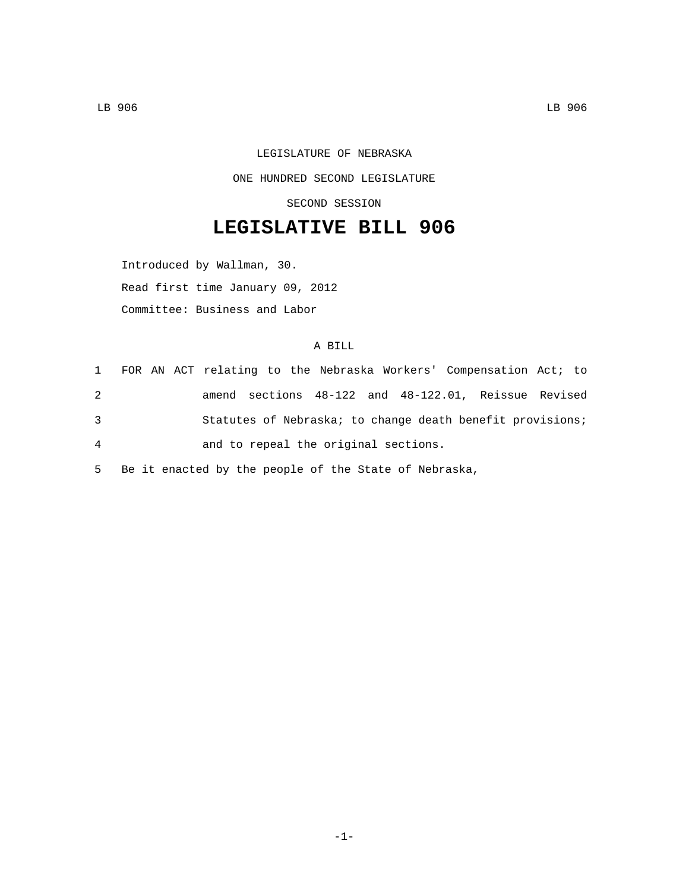LEGISLATURE OF NEBRASKA ONE HUNDRED SECOND LEGISLATURE SECOND SESSION

## **LEGISLATIVE BILL 906**

Introduced by Wallman, 30. Read first time January 09, 2012 Committee: Business and Labor

## A BILL

|                |  |  |  |                                      |  | 1 FOR AN ACT relating to the Nebraska Workers' Compensation Act; to |  |
|----------------|--|--|--|--------------------------------------|--|---------------------------------------------------------------------|--|
| 2              |  |  |  |                                      |  | amend sections 48-122 and 48-122.01, Reissue Revised                |  |
| 3              |  |  |  |                                      |  | Statutes of Nebraska; to change death benefit provisions;           |  |
| $\overline{4}$ |  |  |  | and to repeal the original sections. |  |                                                                     |  |

5 Be it enacted by the people of the State of Nebraska,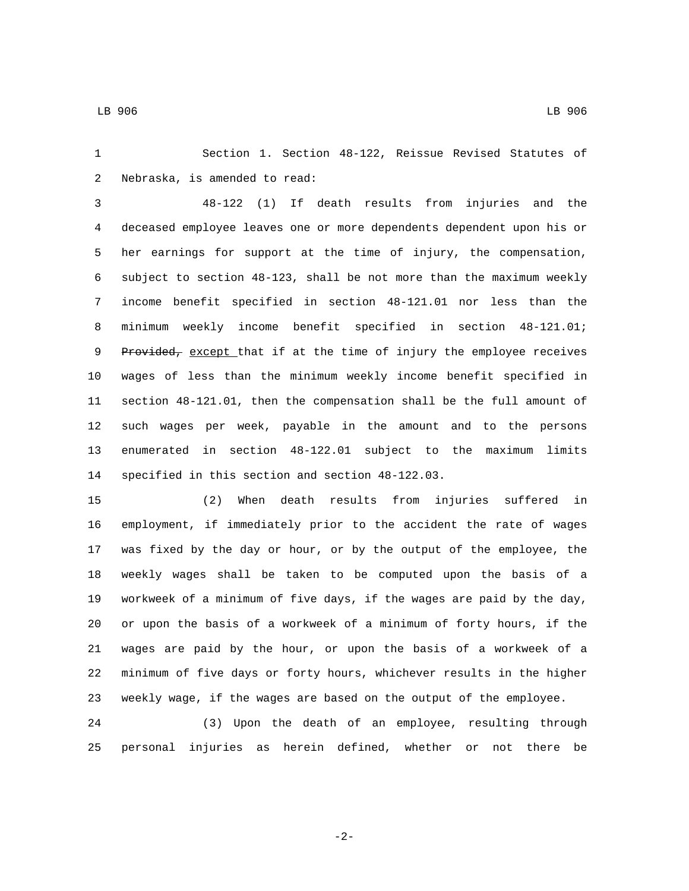LB 906 LB 906

 Section 1. Section 48-122, Reissue Revised Statutes of 2 Nebraska, is amended to read:

 48-122 (1) If death results from injuries and the deceased employee leaves one or more dependents dependent upon his or her earnings for support at the time of injury, the compensation, subject to section 48-123, shall be not more than the maximum weekly income benefit specified in section 48-121.01 nor less than the minimum weekly income benefit specified in section 48-121.01; 9 Provided, except that if at the time of injury the employee receives wages of less than the minimum weekly income benefit specified in section 48-121.01, then the compensation shall be the full amount of such wages per week, payable in the amount and to the persons enumerated in section 48-122.01 subject to the maximum limits 14 specified in this section and section 48-122.03.

 (2) When death results from injuries suffered in employment, if immediately prior to the accident the rate of wages was fixed by the day or hour, or by the output of the employee, the weekly wages shall be taken to be computed upon the basis of a workweek of a minimum of five days, if the wages are paid by the day, or upon the basis of a workweek of a minimum of forty hours, if the wages are paid by the hour, or upon the basis of a workweek of a minimum of five days or forty hours, whichever results in the higher weekly wage, if the wages are based on the output of the employee.

 (3) Upon the death of an employee, resulting through personal injuries as herein defined, whether or not there be

-2-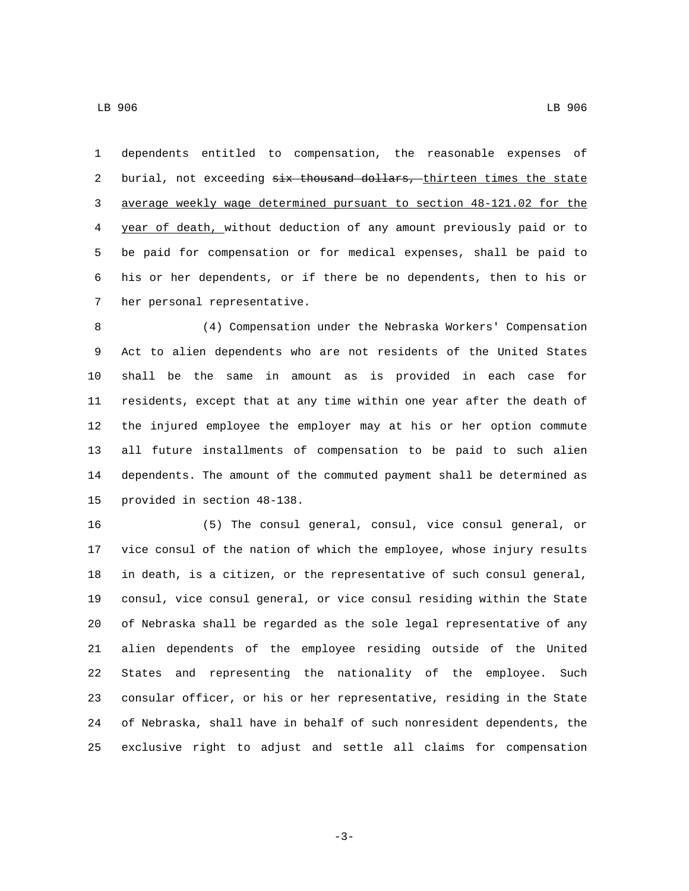dependents entitled to compensation, the reasonable expenses of 2 burial, not exceeding six thousand dollars, thirteen times the state average weekly wage determined pursuant to section 48-121.02 for the year of death, without deduction of any amount previously paid or to be paid for compensation or for medical expenses, shall be paid to his or her dependents, or if there be no dependents, then to his or 7 her personal representative.

 (4) Compensation under the Nebraska Workers' Compensation Act to alien dependents who are not residents of the United States shall be the same in amount as is provided in each case for residents, except that at any time within one year after the death of the injured employee the employer may at his or her option commute all future installments of compensation to be paid to such alien dependents. The amount of the commuted payment shall be determined as 15 provided in section 48-138.

 (5) The consul general, consul, vice consul general, or vice consul of the nation of which the employee, whose injury results in death, is a citizen, or the representative of such consul general, consul, vice consul general, or vice consul residing within the State of Nebraska shall be regarded as the sole legal representative of any alien dependents of the employee residing outside of the United States and representing the nationality of the employee. Such consular officer, or his or her representative, residing in the State of Nebraska, shall have in behalf of such nonresident dependents, the exclusive right to adjust and settle all claims for compensation

-3-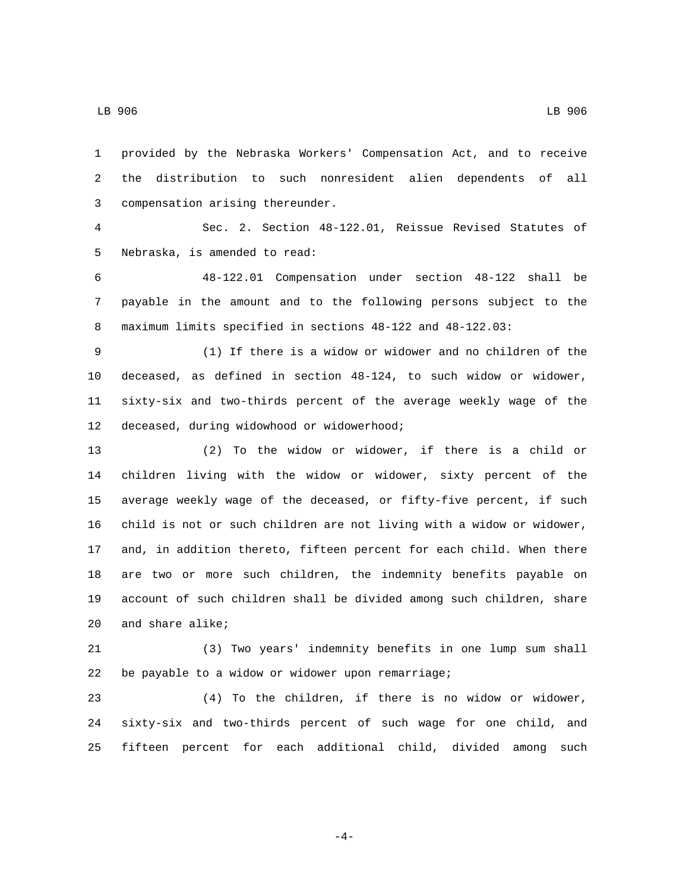LB 906 LB 906

 the distribution to such nonresident alien dependents of all 3 compensation arising thereunder. Sec. 2. Section 48-122.01, Reissue Revised Statutes of 5 Nebraska, is amended to read: 48-122.01 Compensation under section 48-122 shall be payable in the amount and to the following persons subject to the maximum limits specified in sections 48-122 and 48-122.03: (1) If there is a widow or widower and no children of the deceased, as defined in section 48-124, to such widow or widower, sixty-six and two-thirds percent of the average weekly wage of the 12 deceased, during widowhood or widowerhood; (2) To the widow or widower, if there is a child or children living with the widow or widower, sixty percent of the average weekly wage of the deceased, or fifty-five percent, if such child is not or such children are not living with a widow or widower, and, in addition thereto, fifteen percent for each child. When there are two or more such children, the indemnity benefits payable on

provided by the Nebraska Workers' Compensation Act, and to receive

 account of such children shall be divided among such children, share 20 and share alike;

 (3) Two years' indemnity benefits in one lump sum shall 22 be payable to a widow or widower upon remarriage;

 (4) To the children, if there is no widow or widower, sixty-six and two-thirds percent of such wage for one child, and fifteen percent for each additional child, divided among such

-4-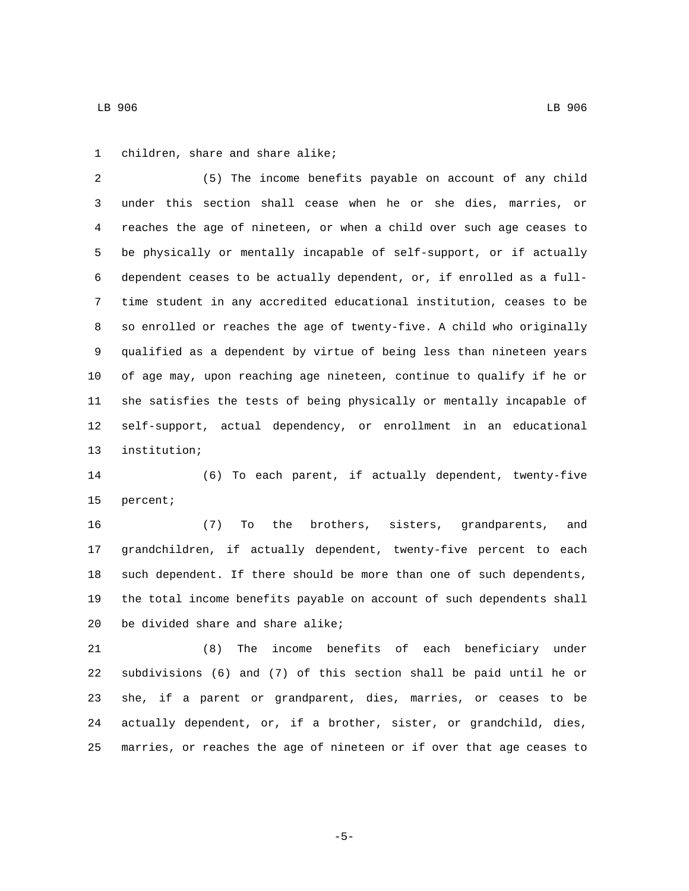1 children, share and share alike;

 (5) The income benefits payable on account of any child under this section shall cease when he or she dies, marries, or reaches the age of nineteen, or when a child over such age ceases to be physically or mentally incapable of self-support, or if actually dependent ceases to be actually dependent, or, if enrolled as a full- time student in any accredited educational institution, ceases to be so enrolled or reaches the age of twenty-five. A child who originally qualified as a dependent by virtue of being less than nineteen years of age may, upon reaching age nineteen, continue to qualify if he or she satisfies the tests of being physically or mentally incapable of self-support, actual dependency, or enrollment in an educational 13 institution;

 (6) To each parent, if actually dependent, twenty-five 15 percent;

 (7) To the brothers, sisters, grandparents, and grandchildren, if actually dependent, twenty-five percent to each such dependent. If there should be more than one of such dependents, the total income benefits payable on account of such dependents shall 20 be divided share and share alike;

 (8) The income benefits of each beneficiary under subdivisions (6) and (7) of this section shall be paid until he or she, if a parent or grandparent, dies, marries, or ceases to be actually dependent, or, if a brother, sister, or grandchild, dies, marries, or reaches the age of nineteen or if over that age ceases to

-5-